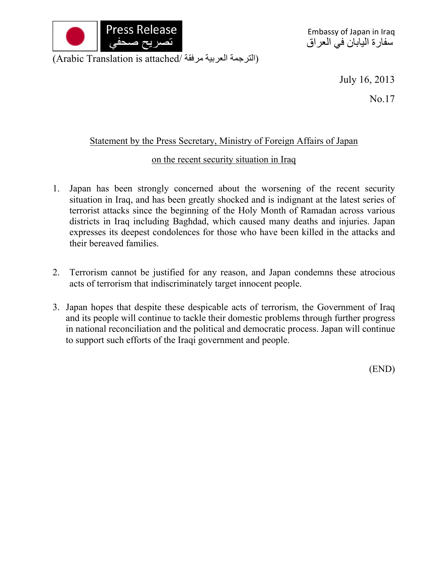

July 16, 2013

No.17

## Statement by the Press Secretary, Ministry of Foreign Affairs of Japan

## on the recent security situation in Iraq

- 1. Japan has been strongly concerned about the worsening of the recent security situation in Iraq, and has been greatly shocked and is indignant at the latest series of terrorist attacks since the beginning of the Holy Month of Ramadan across various districts in Iraq including Baghdad, which caused many deaths and injuries. Japan expresses its deepest condolences for those who have been killed in the attacks and their bereaved families.
- 2. Terrorism cannot be justified for any reason, and Japan condemns these atrocious acts of terrorism that indiscriminately target innocent people.
- 3. Japan hopes that despite these despicable acts of terrorism, the Government of Iraq and its people will continue to tackle their domestic problems through further progress in national reconciliation and the political and democratic process. Japan will continue to support such efforts of the Iraqi government and people.

(END)